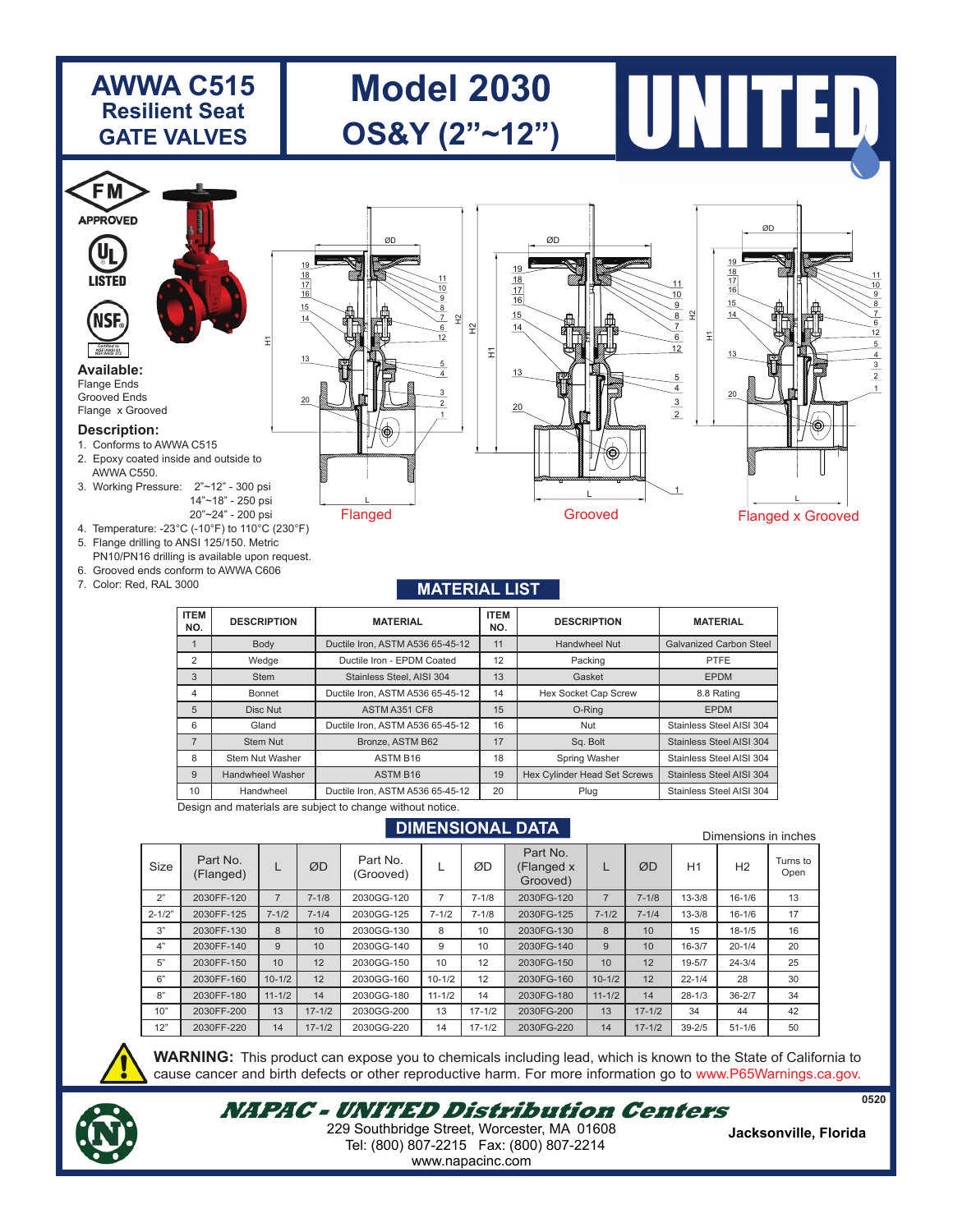# **AWWA C515 Resilient Seat GATE VALVES**

# **Model 2030 OS&Y (2"~12")**

ØD

**UL LISTED** NS

#### **Available:** Flange Ends **Certified to NSF/ANSI 372 NSF/ANSI 61 NSF/ANSI 372**

**Certified to**

**FM APPROVED** 

Grooved Ends Flange x Grooved

#### **Description:**

- 1. Conforms to AWWA C515
- 2. Epoxy coated inside and outside to AWWA C550.
- 3. Working Pressure: 2"~12" 300 psi 14"~18" - 250 psi 20"~24" - 200 psi
- 4. Temperature: -23°C (-10°F) to 110°C (230°F)

H1

15 14

13

20

- 5. Flange drilling to ANSI 125/150. Metric PN10/PN16 drilling is available upon request.
- 6. Grooved ends conform to AWWA C606
- 7. Color: Red, RAL 3000

#### Flanged  $\frac{1}{\sqrt{2}}$ <br>
Flanged Grooved Flanged x Grooved<br>
Flanged X Grooved Flanged x Grooved L 1 2 3 4 5 6 7 8 9 10 11 12  $\mathbb{R}$  $\mathbb{H}$  $15$ 14 18<br>17<br>16 19 13





# **MATERIAL LIST**

| <b>ITEM</b><br>NO. | <b>DESCRIPTION</b>                                         | <b>MATERIAL</b>                  | <b>ITEM</b><br>NO. | <b>DESCRIPTION</b>           | <b>MATERIAL</b>                |  |  |  |  |
|--------------------|------------------------------------------------------------|----------------------------------|--------------------|------------------------------|--------------------------------|--|--|--|--|
|                    | Body                                                       | Ductile Iron, ASTM A536 65-45-12 | 11                 | Handwheel Nut                | <b>Galvanized Carbon Steel</b> |  |  |  |  |
| 2                  | Wedge                                                      | Ductile Iron - EPDM Coated       | 12                 | Packing                      | <b>PTFE</b>                    |  |  |  |  |
| 3                  | Stem                                                       | Stainless Steel, AISI 304        | 13                 | Gasket                       | <b>EPDM</b>                    |  |  |  |  |
| 4                  | Bonnet                                                     | Ductile Iron, ASTM A536 65-45-12 | 14                 | Hex Socket Cap Screw         | 8.8 Rating                     |  |  |  |  |
| 5                  | Disc Nut                                                   | ASTM A351 CF8                    | 15                 | O-Ring                       | <b>EPDM</b>                    |  |  |  |  |
| 6                  | Gland                                                      | Ductile Iron, ASTM A536 65-45-12 | 16                 | Nut                          | Stainless Steel AISI 304       |  |  |  |  |
| $\overline{7}$     | Stem Nut                                                   | Bronze, ASTM B62                 | 17                 | Sq. Bolt                     | Stainless Steel AISI 304       |  |  |  |  |
| 8                  | Stem Nut Washer                                            | ASTM B16                         | 18                 | Spring Washer                | Stainless Steel AISI 304       |  |  |  |  |
| 9                  | Handwheel Washer                                           | ASTM B16                         | 19                 | Hex Cylinder Head Set Screws | Stainless Steel AISI 304       |  |  |  |  |
| 10                 | Handwheel                                                  | Ductile Iron, ASTM A536 65-45-12 | 20                 | Plug                         | Stainless Steel AISI 304       |  |  |  |  |
|                    | Design and materials are subject to change without notice. |                                  |                    |                              |                                |  |  |  |  |

# **DIMENSIONAL DATA**

| PINI-ROPORAL PAIA |                       |                |            |                       |            |            | Dimensions in inches               |                |            |            |                |                  |
|-------------------|-----------------------|----------------|------------|-----------------------|------------|------------|------------------------------------|----------------|------------|------------|----------------|------------------|
| Size              | Part No.<br>(Flanged) |                | ØD         | Part No.<br>(Grooved) |            | ØD         | Part No.<br>(Flanged x<br>Grooved) |                | ØD         | H1         | H <sub>2</sub> | Turns to<br>Open |
| 2"                | 2030FF-120            | $\overline{7}$ | $7 - 1/8$  | 2030GG-120            |            | $7 - 1/8$  | 2030FG-120                         | $\overline{7}$ | $7 - 1/8$  | $13 - 3/8$ | $16 - 1/6$     | 13               |
| $2 - 1/2"$        | 2030FF-125            | $7 - 1/2$      | $7 - 1/4$  | 2030GG-125            | $7 - 1/2$  | $7 - 1/8$  | 2030FG-125                         | $7 - 1/2$      | $7 - 1/4$  | $13 - 3/8$ | $16 - 1/6$     | 17               |
| 3"                | 2030FF-130            | 8              | 10         | 2030GG-130            | 8          | 10         | 2030FG-130                         | 8              | 10         | 15         | $18 - 1/5$     | 16               |
| 4"                | 2030FF-140            | 9              | 10         | 2030GG-140            | 9          | 10         | 2030FG-140                         | 9              | 10         | $16 - 3/7$ | $20 - 1/4$     | 20               |
| 5"                | 2030FF-150            | 10             | 12         | 2030GG-150            | 10         | 12         | 2030FG-150                         | 10             | 12         | $19 - 5/7$ | $24 - 3/4$     | 25               |
| 6"                | 2030FF-160            | $10 - 1/2$     | 12         | 2030GG-160            | $10 - 1/2$ | 12         | 2030FG-160                         | $10 - 1/2$     | 12         | $22 - 1/4$ | 28             | 30               |
| 8"                | 2030FF-180            | $11 - 1/2$     | 14         | 2030GG-180            | $11 - 1/2$ | 14         | 2030FG-180                         | $11 - 1/2$     | 14         | $28 - 1/3$ | $36 - 2/7$     | 34               |
| 10"               | 2030FF-200            | 13             | $17 - 1/2$ | 2030GG-200            | 13         | $17 - 1/2$ | 2030FG-200                         | 13             | $17 - 1/2$ | 34         | 44             | 42               |
| 12"               | 2030FF-220            | 14             | $17 - 1/2$ | 2030GG-220            | 14         | $17 - 1/2$ | 2030FG-220                         | 14             | $17 - 1/2$ | $39 - 2/5$ | $51 - 1/6$     | 50               |



**WARNING:** This product can expose you to chemicals including lead, which is known to the State of California to cause cancer and birth defects or other reproductive harm. For more information go to www.P65Warnings.ca.gov.



**NAPAC - UNITED Distribution Centers** Tel: (800) 807-2215 Fax: (800) 807-2214 **Jacksonville, Florida** 229 Southbridge Street, Worcester, MA 01608

www.napacinc.com

**0520**